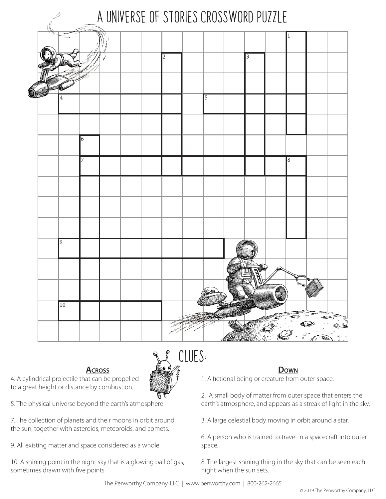

## **Across Down**



to a great height or distance by combustion.



7. The collection of planets and their moons in orbit around the sun, together with asteroids, meteoroids, and comets.

9. All existing matter and space considered as a whole

10. A shining point in the night sky that is a glowing ball of gas, sometimes drawn with five points.

1. A fictional being or creature from outer space.

2. A small body of matter from outer space that enters the earth's atmosphere, and appears as a streak of light in the sky.

3. A large celestial body moving in orbit around a star.

6. A person who is trained to travel in a spacecraft into outer space.

8. The largest shining thing in the sky that can be seen each night when the sun sets.